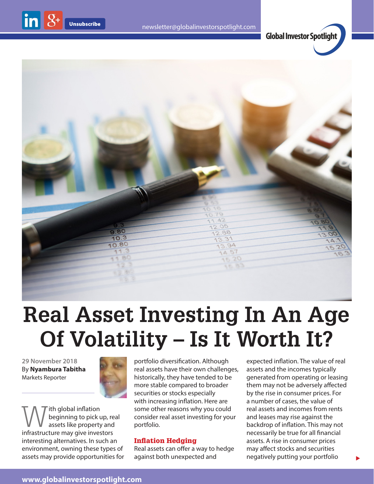$\ln 8$ 





# **Real Asset Investing In An Age Of Volatility – Is It Worth It?**

**29 November 2018** By **Nyambura Tabitha** Markets Reporter



With global inflation<br>length inflation<br>infractructure may give invectors beginning to pick up, real infrastructure may give investors interesting alternatives. In such an environment, owning these types of assets may provide opportunities for portfolio diversification. Although real assets have their own challenges, historically, they have tended to be more stable compared to broader securities or stocks especially with increasing inflation. Here are some other reasons why you could consider real asset investing for your portfolio.

## Inflation Hedging

Real assets can offer a way to hedge against both unexpected and

expected inflation. The value of real assets and the incomes typically generated from operating or leasing them may not be adversely affected by the rise in consumer prices. For a number of cases, the value of real assets and incomes from rents and leases may rise against the backdrop of inflation. This may not necessarily be true for all financial assets. A rise in consumer prices may affect stocks and securities negatively putting your portfolio

 $\blacktriangleright$